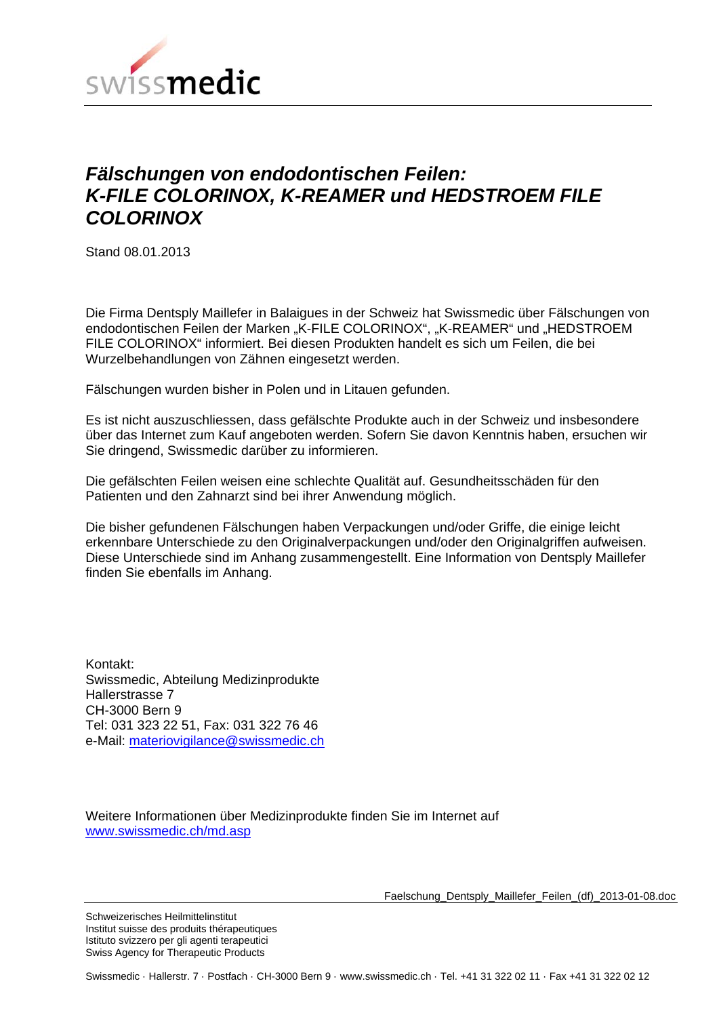

#### *Fälschungen von endodontischen Feilen: K-FILE COLORINOX, K-REAMER und HEDSTROEM FILE COLORINOX*

Stand 08.01.2013

Die Firma Dentsply Maillefer in Balaigues in der Schweiz hat Swissmedic über Fälschungen von endodontischen Feilen der Marken "K-FILE COLORINOX", "K-REAMER" und "HEDSTROEM FILE COLORINOX" informiert. Bei diesen Produkten handelt es sich um Feilen, die bei Wurzelbehandlungen von Zähnen eingesetzt werden.

Fälschungen wurden bisher in Polen und in Litauen gefunden.

Es ist nicht auszuschliessen, dass gefälschte Produkte auch in der Schweiz und insbesondere über das Internet zum Kauf angeboten werden. Sofern Sie davon Kenntnis haben, ersuchen wir Sie dringend, Swissmedic darüber zu informieren.

Die gefälschten Feilen weisen eine schlechte Qualität auf. Gesundheitsschäden für den Patienten und den Zahnarzt sind bei ihrer Anwendung möglich.

Die bisher gefundenen Fälschungen haben Verpackungen und/oder Griffe, die einige leicht erkennbare Unterschiede zu den Originalverpackungen und/oder den Originalgriffen aufweisen. Diese Unterschiede sind im Anhang zusammengestellt. Eine Information von Dentsply Maillefer finden Sie ebenfalls im Anhang.

Kontakt: Swissmedic, Abteilung Medizinprodukte Hallerstrasse 7 CH-3000 Bern 9 Tel: 031 323 22 51, Fax: 031 322 76 46 e-Mail: materiovigilance@swissmedic.ch

Weitere Informationen über Medizinprodukte finden Sie im Internet auf www.swissmedic.ch/md.asp

Faelschung\_Dentsply\_Maillefer\_Feilen\_(df)\_2013-01-08.doc

Schweizerisches Heilmittelinstitut Institut suisse des produits thérapeutiques Istituto svizzero per gli agenti terapeutici Swiss Agency for Therapeutic Products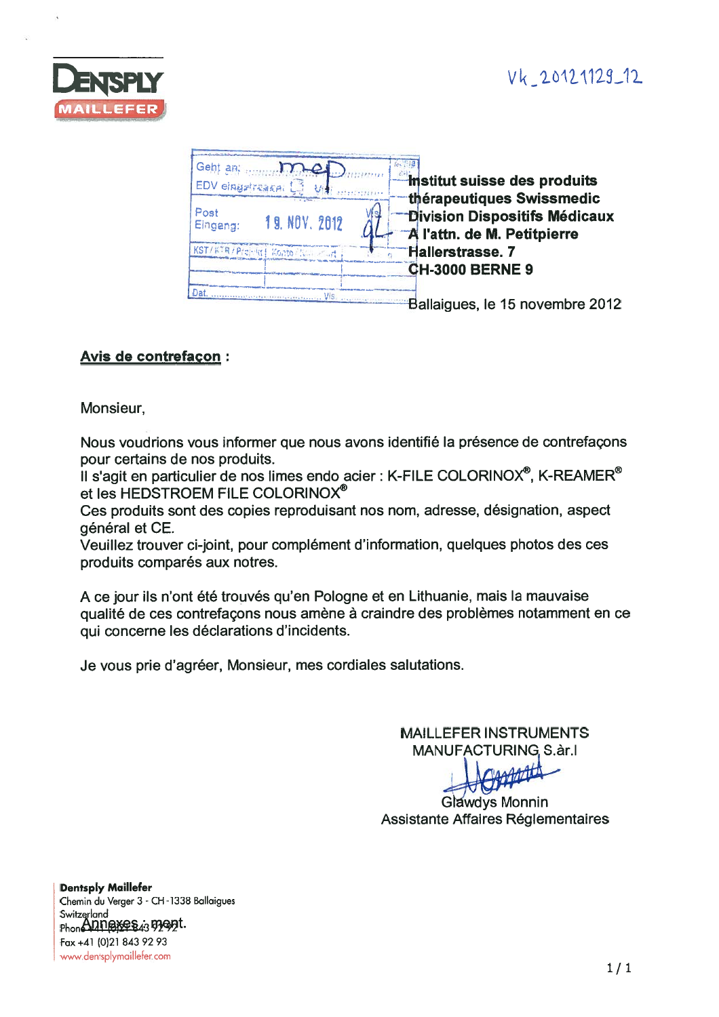## Vk\_20121129\_12



| Geht an.<br>EDV eingstraach.        | <b><i>Institut suisse des produits</i></b>                                                              |
|-------------------------------------|---------------------------------------------------------------------------------------------------------|
| Post<br>19. NOV. 2012<br>Eingeng:   | thérapeutiques Swissmedic<br><b>Division Dispositifs Médicaux</b><br><b>All'attn. de M. Petitpierre</b> |
| KST/KTR/Projekt   Konto / Null 2041 | <b>Hallerstrasse. 7</b>                                                                                 |
|                                     | <b>CH-3000 BERNE 9</b>                                                                                  |
| Dat                                 | Ballaigues, le 15 novembre 2012                                                                         |

#### **Avis de contrefaçon:**

Monsieur,

Nous voudrions vous informer que nous avons identifié la présence de contrefaçons pour certains de nos produits.

Il s'agit en particulier de nos limes endo acier : K-FILE COLORINOX<sup>®</sup>, K-REAMER<sup>®</sup> et les HEDSTROEM FILE COLORINOX®

Ces produits sont des copies reproduisant nos nom, adresse, désignation, aspect général et CE.

Veuillez trouver ci-joint, pour complément d'information, quelques photos des ces produits comparés aux notres.

A ce jour ils n'ont été trouvés qu'en Pologne et en Lithuanie, mais la mauvaise qualité de ces contrefaçons nous amène à craindre des problèmes notamment en ce qui concerne les déclarations d'incidents.

Je vous prie d'agréer, Monsieur, mes cordiales salutations.

**MAILLEFER INSTRUMENTS MANUFACTURING S.ar.I** 

**Glawdys Monnin** Assistante Affaires Réglementaires

**Dentsply Maillefer** Chemin du Verger 3 - CH-1338 Ballaigues Switzerland Phone Annexes 43 52 ext. Fax +41 (0)21 843 92 93 www.dentsplymaillefer.com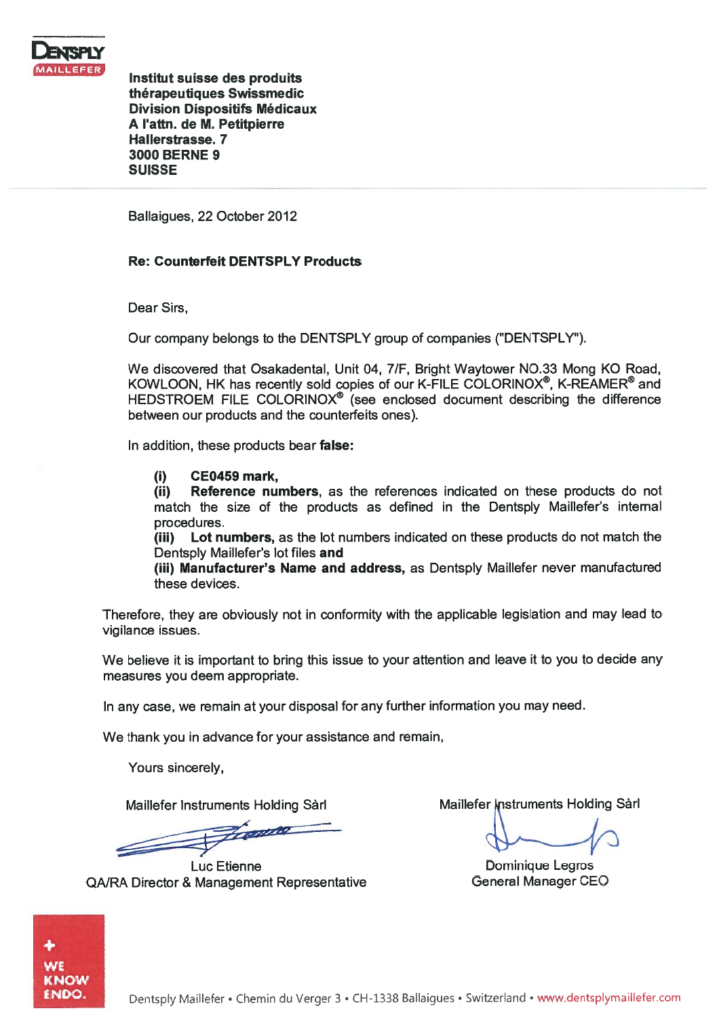

Institut suisse des produits therapeutiques Swissmedic Division Dispositifs Mödicaux A I'attn. de M. Petitpierre Hallerstrasse. 7 3000 BERNE 9 SUISSE

Ballaigues, 22 October 2012

#### Re: Counterfeit DENTSPLY Products

Dear Sirs,

Our company belongs to the DENTSPLY group of companies ("DENTSPLY").

We discovered that Osakadental, Unit 04, 7/F, Bright Waytower NO.33 Mong KO Road, KOWLQON, HK has recently sold copies of our K-FILE COLORINOX©, K-REAMER® and HEDSTROEM FILE COLORINOX<sup>®</sup> (see enclosed document describing the difference between our products and the counterfeits ones).

In addition, these products bear false:

#### (1) CE0459 mark,

(ii) Reference numbers, as the references indicated on these products do not match the size of the products as defined in the Dentsply Maillefer's intemal procedures.

(iii) Lot numbers, as the lot numbers indicated on these products do not match the Dentsply Maillefer's lot files and

(iii) Manufacturer's Name and address, as Dentsply Maillefer never manufactured these devices.

Therefore, they are obviously not in conformity with the applicable legislation and may lead to vigilance issues.

We believe it is important to bring this issue to your attention and leave it to you to decide any measures you deem appropriate.

In any case, we remain at your disposal for any further information you may need.

We thank you in advance for your assistance and remain,

Yours sincerely,

France

Luc Etienne **Dominique Legros** QA/RA Director & Management Representative General Manager CEO

Maillefer Instruments Holding Sàrl Maillefer Instruments Holding Sàrl

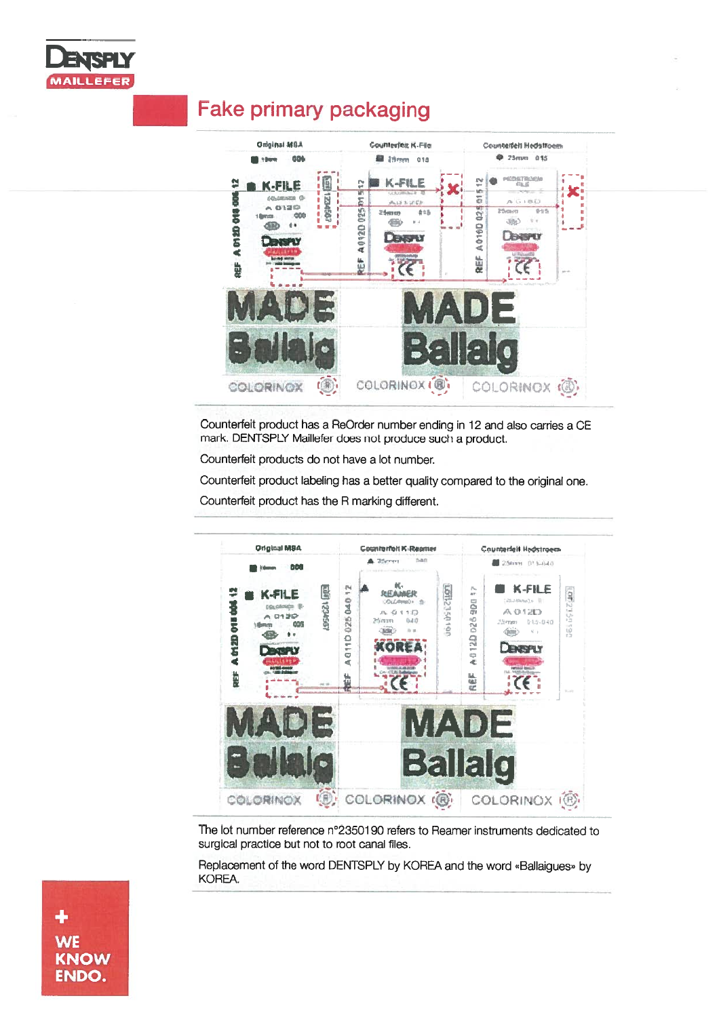

### **Fake primary packaging**



Counterfeit product has a ReOrder number ending in 12 and also carries a CE mark. DENTSPLY Maillefer does not produce such a product.

Counterfeit products do not have a lot number.

Counterfeit product labeling has a better quality compared to the original one.

Counterfeit product has the R marking different.



The lot number reference n°2350190 refers to Reamer instruments dedicated to surgical practice but not to root canal files.

Replacement of the word DENTSPLY by KOREA and the word «Ballaigues» by KOREA.

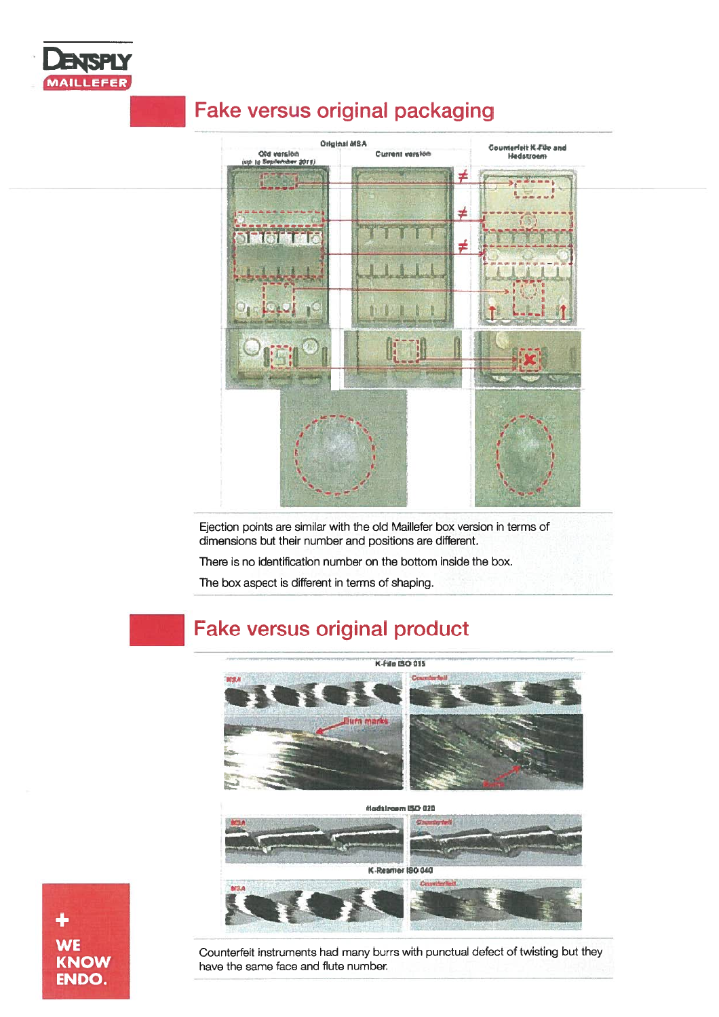

## **Fake versus original packaging**



Ejection points are similar with the old Maillefer box version in terms of dimensions but their number and positions are different.

There is no identification number on the bottom inside the box.

The box aspect is different in terms of shaping.

# **Fake versus original product**







Counterfeit instruments had many burrs with punctual defect of twisting but they have the same face and flute number.

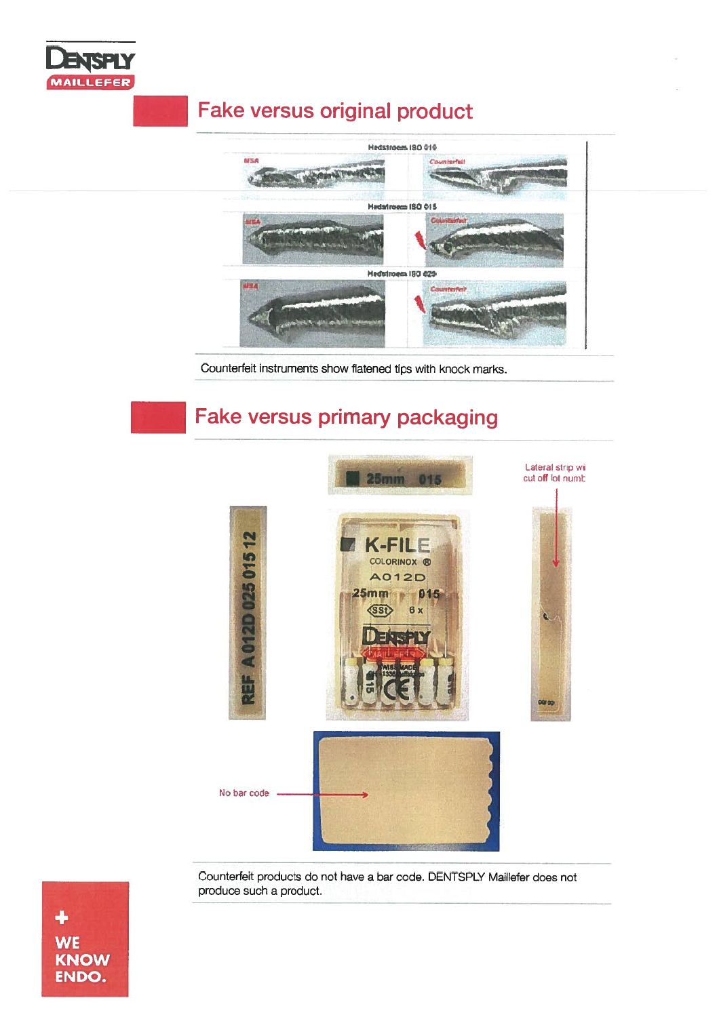

## **Fake versus original product**



Counterfeit instruments show flatened tips with knock marks.

## **Fake versus primary packaging**



Counterfeit products do not have a bar code. DENTSPLY Maillefer does not produce such a product.

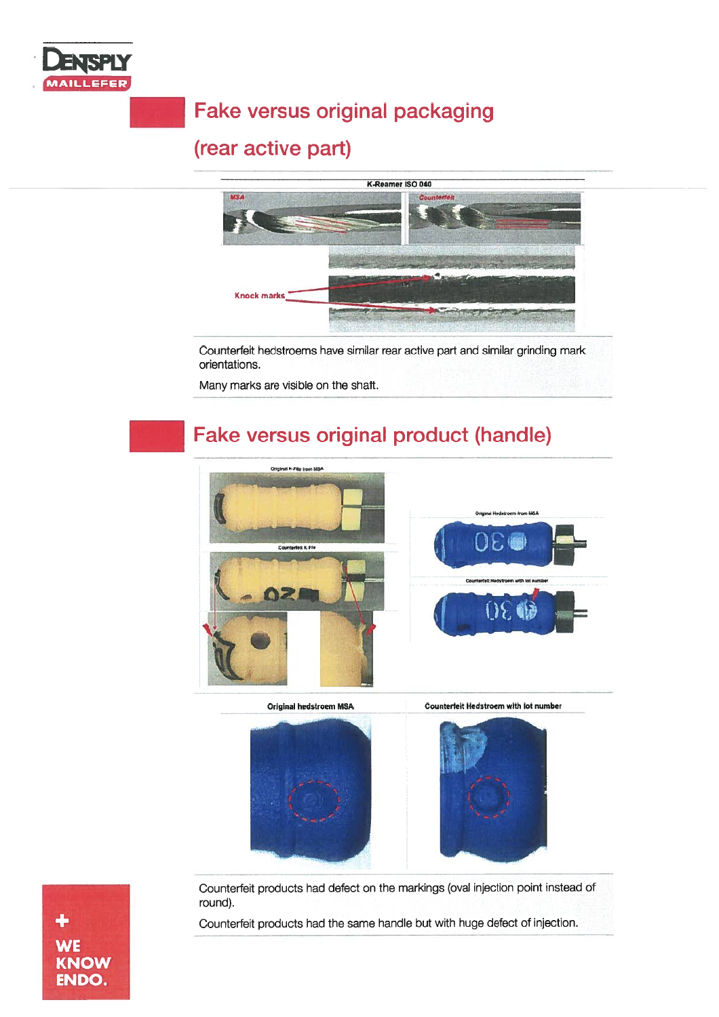

# **Fake versus original packaging**

### (rear active part)



Counterfeit hedstroems have similar rear active part and similar grinding mark orientations.

Many marks are visible on the shaft.

## Fake versus original product (handle)



Original hedstroem MSA

**Counterfeit Hedstroem with lot number** 



 $\ddot{\bullet}$ **WE KNOW** ENDO.

Counterfeit products had defect on the markings (oval injection point instead of round).

Counterfeit products had the same handle but with huge defect of injection.